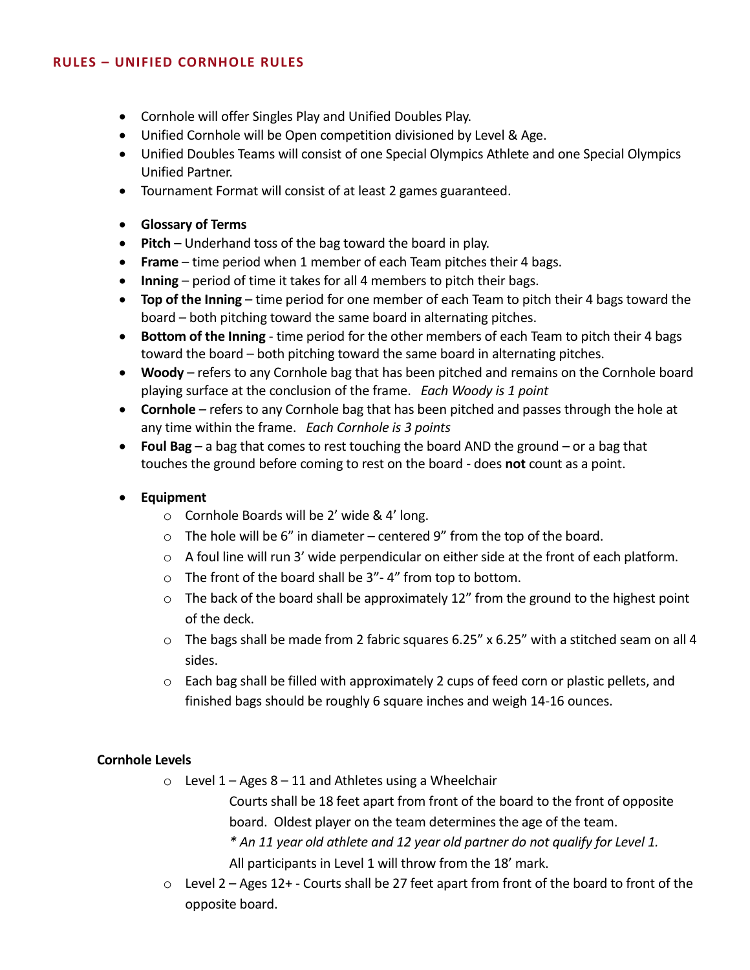#### **RULES – UNIFIED CORNHOLE RULES**

- Cornhole will offer Singles Play and Unified Doubles Play.
- Unified Cornhole will be Open competition divisioned by Level & Age.
- Unified Doubles Teams will consist of one Special Olympics Athlete and one Special Olympics Unified Partner.
- Tournament Format will consist of at least 2 games guaranteed.
- **Glossary of Terms**
- **Pitch** Underhand toss of the bag toward the board in play.
- **Frame** time period when 1 member of each Team pitches their 4 bags.
- **Inning** period of time it takes for all 4 members to pitch their bags.
- **Top of the Inning** time period for one member of each Team to pitch their 4 bags toward the board – both pitching toward the same board in alternating pitches.
- **Bottom of the Inning**  time period for the other members of each Team to pitch their 4 bags toward the board – both pitching toward the same board in alternating pitches.
- **Woody** refers to any Cornhole bag that has been pitched and remains on the Cornhole board playing surface at the conclusion of the frame. *Each Woody is 1 point*
- **Cornhole** refers to any Cornhole bag that has been pitched and passes through the hole at any time within the frame. *Each Cornhole is 3 points*
- **Foul Bag** a bag that comes to rest touching the board AND the ground or a bag that touches the ground before coming to rest on the board - does **not** count as a point.
- **Equipment**
	- o Cornhole Boards will be 2' wide & 4' long.
	- $\circ$  The hole will be 6" in diameter centered 9" from the top of the board.
	- $\circ$  A foul line will run 3' wide perpendicular on either side at the front of each platform.
	- o The front of the board shall be 3"- 4" from top to bottom.
	- $\circ$  The back of the board shall be approximately 12" from the ground to the highest point of the deck.
	- o The bags shall be made from 2 fabric squares 6.25" x 6.25" with a stitched seam on all 4 sides.
	- o Each bag shall be filled with approximately 2 cups of feed corn or plastic pellets, and finished bags should be roughly 6 square inches and weigh 14-16 ounces.

#### **Cornhole Levels**

 $\circ$  Level 1 – Ages 8 – 11 and Athletes using a Wheelchair

Courts shall be 18 feet apart from front of the board to the front of opposite board. Oldest player on the team determines the age of the team.

- *\* An 11 year old athlete and 12 year old partner do not qualify for Level 1.*  All participants in Level 1 will throw from the 18' mark.
- $\circ$  Level 2 Ages 12+ Courts shall be 27 feet apart from front of the board to front of the opposite board.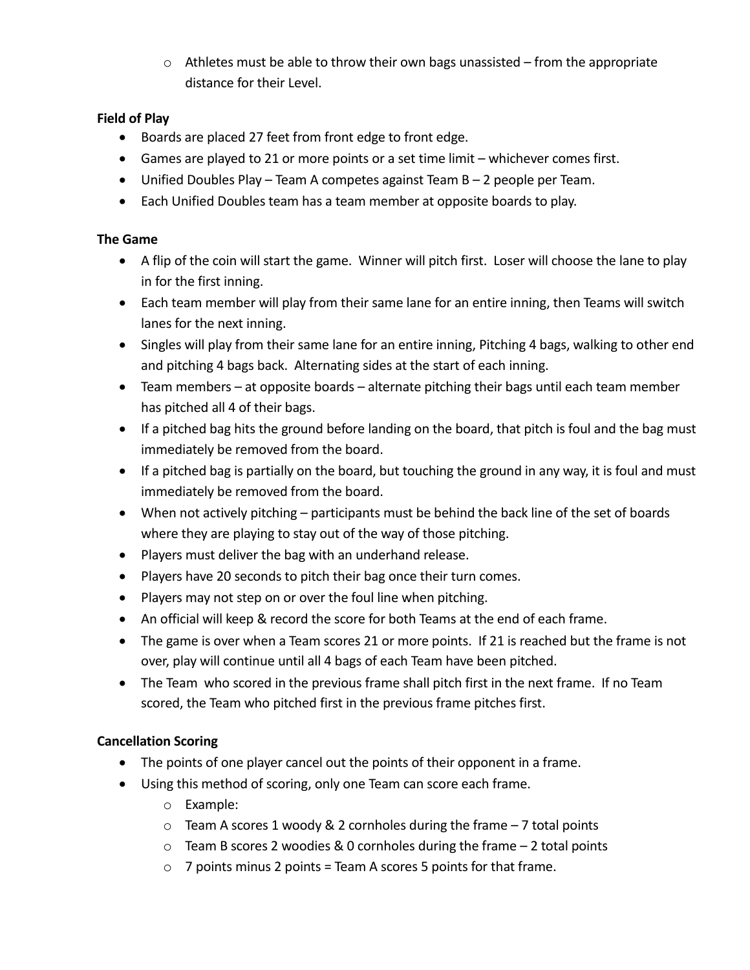$\circ$  Athletes must be able to throw their own bags unassisted – from the appropriate distance for their Level.

## **Field of Play**

- Boards are placed 27 feet from front edge to front edge.
- Games are played to 21 or more points or a set time limit whichever comes first.
- Unified Doubles Play Team A competes against Team B 2 people per Team.
- Each Unified Doubles team has a team member at opposite boards to play.

## **The Game**

- A flip of the coin will start the game. Winner will pitch first. Loser will choose the lane to play in for the first inning.
- Each team member will play from their same lane for an entire inning, then Teams will switch lanes for the next inning.
- Singles will play from their same lane for an entire inning, Pitching 4 bags, walking to other end and pitching 4 bags back. Alternating sides at the start of each inning.
- Team members at opposite boards alternate pitching their bags until each team member has pitched all 4 of their bags.
- If a pitched bag hits the ground before landing on the board, that pitch is foul and the bag must immediately be removed from the board.
- If a pitched bag is partially on the board, but touching the ground in any way, it is foul and must immediately be removed from the board.
- When not actively pitching participants must be behind the back line of the set of boards where they are playing to stay out of the way of those pitching.
- Players must deliver the bag with an underhand release.
- Players have 20 seconds to pitch their bag once their turn comes.
- Players may not step on or over the foul line when pitching.
- An official will keep & record the score for both Teams at the end of each frame.
- The game is over when a Team scores 21 or more points. If 21 is reached but the frame is not over, play will continue until all 4 bags of each Team have been pitched.
- The Team who scored in the previous frame shall pitch first in the next frame. If no Team scored, the Team who pitched first in the previous frame pitches first.

# **Cancellation Scoring**

- The points of one player cancel out the points of their opponent in a frame.
- Using this method of scoring, only one Team can score each frame.
	- o Example:
	- $\circ$  Team A scores 1 woody & 2 cornholes during the frame 7 total points
	- $\circ$  Team B scores 2 woodies & 0 cornholes during the frame  $-$  2 total points
	- $\circ$  7 points minus 2 points = Team A scores 5 points for that frame.